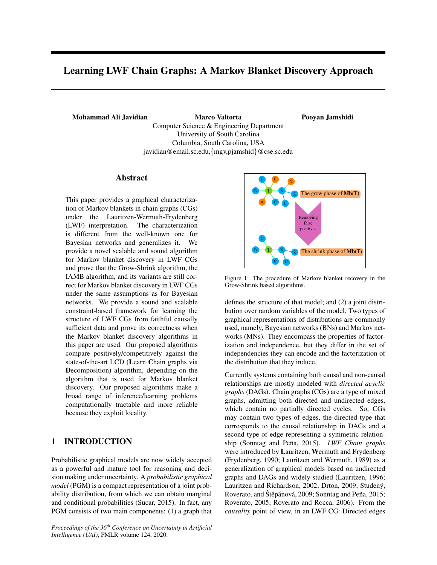# Learning LWF Chain Graphs: A Markov Blanket Discovery Approach

Mohammad Ali Javidian Marco Valtorta Computer Science & Engineering Department University of South Carolina Columbia, South Carolina, USA javidian@email.sc.edu,{mgv,pjamshid}@cse.sc.edu

### Abstract

This paper provides a graphical characterization of Markov blankets in chain graphs (CGs) under the Lauritzen-Wermuth-Frydenberg (LWF) interpretation. The characterization is different from the well-known one for Bayesian networks and generalizes it. We provide a novel scalable and sound algorithm for Markov blanket discovery in LWF CGs and prove that the Grow-Shrink algorithm, the IAMB algorithm, and its variants are still correct for Markov blanket discovery in LWF CGs under the same assumptions as for Bayesian networks. We provide a sound and scalable constraint-based framework for learning the structure of LWF CGs from faithful causally sufficient data and prove its correctness when the Markov blanket discovery algorithms in this paper are used. Our proposed algorithms compare positively/competitively against the state-of-the-art LCD (Learn Chain graphs via Decomposition) algorithm, depending on the algorithm that is used for Markov blanket discovery. Our proposed algorithms make a broad range of inference/learning problems computationally tractable and more reliable because they exploit locality.

# 1 INTRODUCTION

Probabilistic graphical models are now widely accepted as a powerful and mature tool for reasoning and decision making under uncertainty. A *probabilistic graphical model* (PGM) is a compact representation of a joint probability distribution, from which we can obtain marginal and conditional probabilities (Sucar, 2015). In fact, any PGM consists of two main components: (1) a graph that

*Proceedings of the 36th Conference on Uncertainty in Artificial Intelligence (UAI)*, PMLR volume 124, 2020.



Pooyan Jamshidi

Figure 1: The procedure of Markov blanket recovery in the Grow-Shrink based algorithms.

defines the structure of that model; and (2) a joint distribution over random variables of the model. Two types of graphical representations of distributions are commonly used, namely, Bayesian networks (BNs) and Markov networks (MNs). They encompass the properties of factorization and independence, but they differ in the set of independencies they can encode and the factorization of the distribution that they induce.

Currently systems containing both causal and non-causal relationships are mostly modeled with *directed acyclic graphs* (DAGs). Chain graphs (CGs) are a type of mixed graphs, admitting both directed and undirected edges, which contain no partially directed cycles. So, CGs may contain two types of edges, the directed type that corresponds to the causal relationship in DAGs and a second type of edge representing a symmetric relationship (Sonntag and Peña, 2015). *LWF Chain graphs* were introduced by Lauritzen, Wermuth and Frydenberg (Frydenberg, 1990; Lauritzen and Wermuth, 1989) as a generalization of graphical models based on undirected graphs and DAGs and widely studied (Lauritzen, 1996; Lauritzen and Richardson, 2002; Drton, 2009; Studený, Roverato, and Štěpánová, 2009; Sonntag and Peña, 2015; Roverato, 2005; Roverato and Rocca, 2006). From the *causality* point of view, in an LWF CG: Directed edges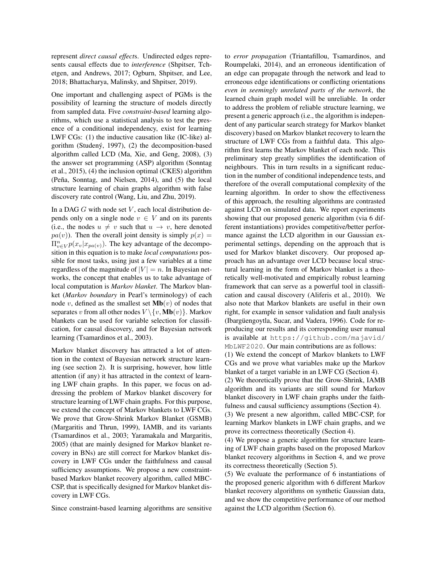represent *direct causal effect*s. Undirected edges represents causal effects due to *interference* (Shpitser, Tchetgen, and Andrews, 2017; Ogburn, Shpitser, and Lee, 2018; Bhattacharya, Malinsky, and Shpitser, 2019).

One important and challenging aspect of PGMs is the possibility of learning the structure of models directly from sampled data. Five *constraint-based* learning algorithms, which use a statistical analysis to test the presence of a conditional independency, exist for learning LWF CGs: (1) the inductive causation like (IC-like) algorithm (Studený, 1997), (2) the decomposition-based algorithm called LCD (Ma, Xie, and Geng, 2008), (3) the answer set programming (ASP) algorithm (Sonntag et al., 2015), (4) the inclusion optimal (CKES) algorithm (Peña, Sonntag, and Nielsen,  $2014$ ), and  $(5)$  the local structure learning of chain graphs algorithm with false discovery rate control (Wang, Liu, and Zhu, 2019).

In a DAG  $G$  with node set  $V$ , each local distribution depends only on a single node  $v \in V$  and on its parents (i.e., the nodes  $u \neq v$  such that  $u \to v$ , here denoted  $pa(v)$ ). Then the overall joint density is simply  $p(x) =$  $\Pi_{v \in V}^n p(x_v|x_{pa(v)})$ . The key advantage of the decomposition in this equation is to make *local computations* possible for most tasks, using just a few variables at a time regardless of the magnitude of  $|V| = n$ . In Bayesian networks, the concept that enables us to take advantage of local computation is *Markov blanket*. The Markov blanket (*Markov boundary* in Pearl's terminology) of each node v, defined as the smallest set  $Mb(v)$  of nodes that separates v from all other nodes  $V \setminus \{v, \text{Mb}(v)\}\$ . Markov blankets can be used for variable selection for classification, for causal discovery, and for Bayesian network learning (Tsamardinos et al., 2003).

Markov blanket discovery has attracted a lot of attention in the context of Bayesian network structure learning (see section 2). It is surprising, however, how little attention (if any) it has attracted in the context of learning LWF chain graphs. In this paper, we focus on addressing the problem of Markov blanket discovery for structure learning of LWF chain graphs. For this purpose, we extend the concept of Markov blankets to LWF CGs. We prove that Grow-Shrink Markov Blanket (GSMB) (Margaritis and Thrun, 1999), IAMB, and its variants (Tsamardinos et al., 2003; Yaramakala and Margaritis, 2005) (that are mainly designed for Markov blanket recovery in BNs) are still correct for Markov blanket discovery in LWF CGs under the faithfulness and causal sufficiency assumptions. We propose a new constraintbased Markov blanket recovery algorithm, called MBC-CSP, that is specifically designed for Markov blanket discovery in LWF CGs.

Since constraint-based learning algorithms are sensitive

to *error propagation* (Triantafillou, Tsamardinos, and Roumpelaki, 2014), and an erroneous identification of an edge can propagate through the network and lead to erroneous edge identifications or conflicting orientations *even in seemingly unrelated parts of the network*, the learned chain graph model will be unreliable. In order to address the problem of reliable structure learning, we present a generic approach (i.e., the algorithm is independent of any particular search strategy for Markov blanket discovery) based on Markov blanket recovery to learn the structure of LWF CGs from a faithful data. This algorithm first learns the Markov blanket of each node. This preliminary step greatly simplifies the identification of neighbours. This in turn results in a significant reduction in the number of conditional independence tests, and therefore of the overall computational complexity of the learning algorithm. In order to show the effectiveness of this approach, the resulting algorithms are contrasted against LCD on simulated data. We report experiments showing that our proposed generic algorithm (via 6 different instantiations) provides competitive/better performance against the LCD algorithm in our Gaussian experimental settings, depending on the approach that is used for Markov blanket discovery. Our proposed approach has an advantage over LCD because local structural learning in the form of Markov blanket is a theoretically well-motivated and empirically robust learning framework that can serve as a powerful tool in classification and causal discovery (Aliferis et al., 2010). We also note that Markov blankets are useful in their own right, for example in sensor validation and fault analysis (Ibargüengoytla, Sucar, and Vadera, 1996). Code for reproducing our results and its corresponding user manual is available at https://github.com/majavid/ MbLWF2020. Our main contributions are as follows: (1) We extend the concept of Markov blankets to LWF CGs and we prove what variables make up the Markov

blanket of a target variable in an LWF CG (Section 4). (2) We theoretically prove that the Grow-Shrink, IAMB algorithm and its variants are still sound for Markov blanket discovery in LWF chain graphs under the faith-

fulness and causal sufficiency assumptions (Section 4). (3) We present a new algorithm, called MBC-CSP, for learning Markov blankets in LWF chain graphs, and we prove its correctness theoretically (Section 4).

(4) We propose a generic algorithm for structure learning of LWF chain graphs based on the proposed Markov blanket recovery algorithms in Section 4, and we prove its correctness theoretically (Section 5).

(5) We evaluate the performance of 6 instantiations of the proposed generic algorithm with 6 different Markov blanket recovery algorithms on synthetic Gaussian data, and we show the competitive performance of our method against the LCD algorithm (Section 6).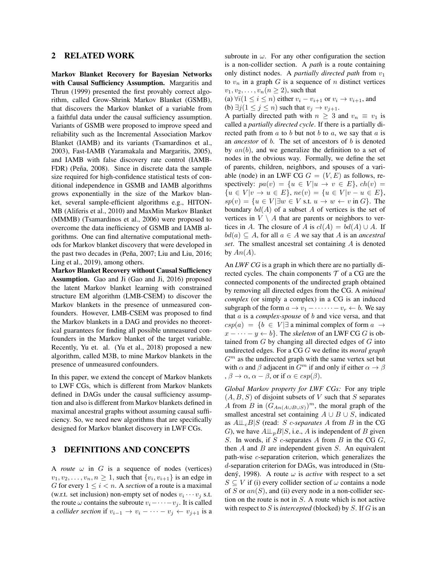# 2 RELATED WORK

Markov Blanket Recovery for Bayesian Networks with Causal Sufficiency Assumption. Margaritis and Thrun (1999) presented the first provably correct algorithm, called Grow-Shrink Markov Blanket (GSMB), that discovers the Markov blanket of a variable from a faithful data under the causal sufficiency assumption. Variants of GSMB were proposed to improve speed and reliability such as the Incremental Association Markov Blanket (IAMB) and its variants (Tsamardinos et al., 2003), Fast-IAMB (Yaramakala and Margaritis, 2005), and IAMB with false discovery rate control (IAMB-FDR) (Peña, 2008). Since in discrete data the sample size required for high-confidence statistical tests of conditional independence in GSMB and IAMB algorithms grows exponentially in the size of the Markov blanket, several sample-efficient algorithms e.g., HITON-MB (Aliferis et al., 2010) and MaxMin Markov Blanket (MMMB) (Tsamardinos et al., 2006) were proposed to overcome the data inefficiency of GSMB and IAMB algorithms. One can find alternative computational methods for Markov blanket discovery that were developed in the past two decades in (Peña, 2007; Liu and Liu, 2016; Ling et al., 2019), among others.

Markov Blanket Recovery without Causal Sufficiency Assumption. Gao and Ji (Gao and Ji, 2016) proposed the latent Markov blanket learning with constrained structure EM algorithm (LMB-CSEM) to discover the Markov blankets in the presence of unmeasured confounders. However, LMB-CSEM was proposed to find the Markov blankets in a DAG and provides no theoretical guarantees for finding all possible unmeasured confounders in the Markov blanket of the target variable. Recently, Yu et. al. (Yu et al., 2018) proposed a new algorithm, called M3B, to mine Markov blankets in the presence of unmeasured confounders.

In this paper, we extend the concept of Markov blankets to LWF CGs, which is different from Markov blankets defined in DAGs under the causal sufficiency assumption and also is different from Markov blankets defined in maximal ancestral graphs without assuming causal sufficiency. So, we need new algorithms that are specifically designed for Markov blanket discovery in LWF CGs.

### 3 DEFINITIONS AND CONCEPTS

A *route*  $\omega$  in G is a sequence of nodes (vertices)  $v_1, v_2, \ldots, v_n, n \geq 1$ , such that  $\{v_i, v_{i+1}\}\$ is an edge in G for every  $1 \leq i < n$ . A *section* of a route is a maximal (w.r.t. set inclusion) non-empty set of nodes  $v_i \cdots v_j$  s.t. the route  $\omega$  contains the subroute  $v_i - \cdots - v_j$ . It is called a *collider section* if  $v_{i-1}$  →  $v_i$  – · · · −  $v_j$  ←  $v_{j+1}$  is a subroute in  $\omega$ . For any other configuration the section is a non-collider section. A *path* is a route containing only distinct nodes. A *partially directed path* from  $v_1$ to  $v_n$  in a graph G is a sequence of n distinct vertices  $v_1, v_2, \ldots, v_n (n \geq 2)$ , such that

(a)  $\forall i (1 \leq i \leq n)$  either  $v_i - v_{i+1}$  or  $v_i \rightarrow v_{i+1}$ , and (b)  $\exists j (1 \leq j \leq n)$  such that  $v_j \rightarrow v_{j+1}$ .

A partially directed path with  $n \geq 3$  and  $v_n \equiv v_1$  is called a *partially directed cycle*. If there is a partially directed path from  $a$  to  $b$  but not  $b$  to  $a$ , we say that  $a$  is an *ancestor* of b. The set of ancestors of b is denoted by  $an(b)$ , and we generalize the definition to a set of nodes in the obvious way. Formally, we define the set of parents, children, neighbors, and spouses of a variable (node) in an LWF CG  $G = (V, E)$  as follows, respectively:  $pa(v) = \{u \in V | u \rightarrow v \in E\}, ch(v) =$  ${u \in V | v \to u \in E}, \text{ne}(v) = {u \in V | v - u \in E},$  $sp(v) = \{u \in V | \exists w \in V \text{ s.t. } u \to w \leftarrow v \text{ in } G \}.$  The boundary  $bd(A)$  of a subset A of vertices is the set of vertices in  $V \setminus A$  that are parents or neighbors to vertices in A. The closure of A is  $cl(A) = bd(A) \cup A$ . If  $bd(a) \subseteq A$ , for all  $a \in A$  we say that A is an *ancestral set*. The smallest ancestral set containing A is denoted by  $An(A)$ .

An *LWF CG* is a graph in which there are no partially directed cycles. The chain components  $T$  of a CG are the connected components of the undirected graph obtained by removing all directed edges from the CG. A *minimal complex* (or simply a complex) in a CG is an induced subgraph of the form  $a \to v_1 - \cdots - v_r \leftarrow b$ . We say that a is a *complex-spouse* of b and vice versa, and that  $csp(a) = \{b \in V | \exists$  a minimal complex of form  $a \rightarrow$  $x - \cdots - y \leftarrow b$ . The *skeleton* of an LWF CG G is obtained from  $G$  by changing all directed edges of  $G$  into undirected edges. For a CG G we define its *moral graph*  $G<sup>m</sup>$  as the undirected graph with the same vertex set but with  $\alpha$  and  $\beta$  adjacent in  $G^m$  if and only if either  $\alpha \rightarrow \beta$ ,  $\beta \to \alpha$ ,  $\alpha - \beta$ , or if  $\alpha \in csp(\beta)$ .

*Global Markov property for LWF CGs:* For any triple  $(A, B, S)$  of disjoint subsets of V such that S separates A from B in  $(G_{An(A\cup B\cup S)})^m$ , the moral graph of the smallest ancestral set containing  $A \cup B \cup S$ , indicated as A⊥⊥cB|S (read: S c*-separates* A from B in the CG G), we have  $A\Box_p B|S$ , i.e., A is independent of B given S. In words, if S  $c$ -separates A from B in the CG  $G$ , then  $A$  and  $B$  are independent given  $S$ . An equivalent path-wise c-separation criterion, which generalizes the d-separation criterion for DAGs, was introduced in (Studený, 1998). A route  $\omega$  is *active* with respect to a set  $S \subseteq V$  if (i) every collider section of  $\omega$  contains a node of S or  $an(S)$ , and (ii) every node in a non-collider section on the route is not in S. A route which is not active with respect to S is *intercepted* (blocked) by S. If G is an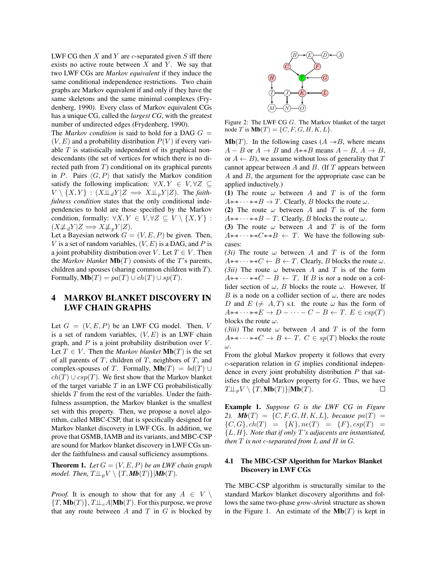LWF CG then  $X$  and  $Y$  are c-separated given  $S$  iff there exists no active route between  $X$  and  $Y$ . We say that two LWF CGs are *Markov equivalent* if they induce the same conditional independence restrictions. Two chain graphs are Markov equivalent if and only if they have the same skeletons and the same minimal complexes (Frydenberg, 1990). Every class of Markov equivalent CGs has a unique CG, called the *largest CG*, with the greatest number of undirected edges (Frydenberg, 1990).

The *Markov condition* is said to hold for a DAG  $G =$  $(V, E)$  and a probability distribution  $P(V)$  if every variable  $T$  is statistically independent of its graphical nondescendants (the set of vertices for which there is no directed path from  $T$ ) conditional on its graphical parents in P. Pairs  $\langle G, P \rangle$  that satisfy the Markov condition satisfy the following implication:  $\forall X, Y \in V, \forall Z \subseteq$  $V \setminus \{X, Y\} : (X \perp \!\!\! \perp_d Y | Z \implies X \perp \!\!\! \perp_p Y | Z)$ . The *faithfulness condition* states that the only conditional independencies to hold are those specified by the Markov condition, formally:  $\forall X, Y \in V, \forall Z \subseteq V \setminus \{X, Y\}$ :  $(X\mathcal{L}_d Y | Z \Longrightarrow X\mathcal{L}_n Y | Z).$ 

Let a Bayesian network  $G = (V, E, P)$  be given. Then, V is a set of random variables,  $(V, E)$  is a DAG, and P is a joint probability distribution over V. Let  $T \in V$ . Then the *Markov blanket*  $\textbf{Mb}(T)$  consists of the T's parents, children and spouses (sharing common children with T). Formally,  $\textbf{Mb}(T) = pa(T) \cup ch(T) \cup sp(T)$ .

# 4 MARKOV BLANKET DISCOVERY IN LWF CHAIN GRAPHS

Let  $G = (V, E, P)$  be an LWF CG model. Then, V is a set of random variables,  $(V, E)$  is an LWF chain graph, and  $P$  is a joint probability distribution over  $V$ . Let  $T \in V$ . Then the *Markov blanket* **Mb** $(T)$  is the set of all parents of  $T$ , children of  $T$ , neighbors of  $T$ , and complex-spouses of T. Formally,  $Mb(T) = bd(T) \cup$  $ch(T) \cup csp(T)$ . We first show that the Markov blanket of the target variable  $T$  in an LWF CG probabilistically shields T from the rest of the variables. Under the faithfulness assumption, the Markov blanket is the smallest set with this property. Then, we propose a novel algorithm, called MBC-CSP, that is specifically designed for Markov blanket discovery in LWF CGs. In addition, we prove that GSMB, IAMB and its variants, and MBC-CSP are sound for Markov blanket discovery in LWF CGs under the faithfulness and causal sufficiency assumptions.

**Theorem 1.** Let  $G = (V, E, P)$  be an LWF chain graph *model. Then,*  $T \perp\!\!\!\perp_p V \setminus \{T, Mb(T)\} |Mb(T)$ .

*Proof.* It is enough to show that for any  $A \in V \setminus$  ${T, \textbf{Mb}(T)}, T\mathcal{L}_cA|\textbf{Mb}(T)$ . For this purpose, we prove that any route between  $A$  and  $T$  in  $G$  is blocked by



Figure 2: The LWF CG G. The Markov blanket of the target node T is  $\textbf{Mb}(T) = \{C, F, G, H, K, L\}.$ 

**Mb**(T). In the following cases ( $A \rightarrow B$ , where means  $A - B$  or  $A \rightarrow B$  and  $A$ \*\* $B$  means  $A - B$ ,  $A \rightarrow B$ , or  $A \leftarrow B$ ), we assume without loss of generality that T cannot appear between A and B. (If  $T$  appears between  $A$  and  $B$ , the argument for the appropriate case can be applied inductively.)

(1) The route  $\omega$  between A and T is of the form  $A$ \* \* · · · \* \*  $B \to T$ . Clearly, B blocks the route  $\omega$ .

(2) The route  $\omega$  between A and T is of the form  $A$ \*\* · · · \* \*  $B - T$ . Clearly, B blocks the route  $\omega$ .

(3) The route  $\omega$  between A and T is of the form  $A$ <sup>\*</sup>\* $\cdots$  \*\* $C$ \*\* $B \leftarrow T$ . We have the following subcases:

*(3i)* The route  $\omega$  between A and T is of the form  $A$ <sup>\*</sup>\* · · · \* \*  $C \leftarrow B \leftarrow T$ . Clearly, B blocks the route  $\omega$ . *(3ii)* The route  $\omega$  between A and T is of the form  $A$ <sup>\*</sup>\* $\cdots$  \*\* $C - B \leftarrow T$ . If B is *not* a node on a collider section of  $\omega$ , B blocks the route  $\omega$ . However, If B is a node on a collider section of  $\omega$ , there are nodes D and  $E \neq A, T$  s.t. the route  $\omega$  has the form of  $A$ \*\*··\*\* $E \to D$  –··· –  $C - B \leftarrow T$ .  $E \in csp(T)$ blocks the route  $\omega$ .

*(3iii)* The route  $\omega$  between A and T is of the form  $A$ <sup>\*</sup>\* · · · \* \*  $C \to B \leftarrow T$ .  $C \in sp(T)$  blocks the route ω.

From the global Markov property it follows that every  $c$ -separation relation in  $G$  implies conditional independence in every joint probability distribution  $P$  that satisfies the global Markov property for  $G$ . Thus, we have  $T\perp\!\!\!\perp_p V \setminus \{T, \textbf{Mb}(T)\}|\textbf{Mb}(T).$  $\Box$ 

Example 1. *Suppose* G *is the LWF CG in Figure* 2).  $Mb(T) = \{C, F, G, H, K, L\}$ **, because**  $pa(T) =$  $\{C, G\}, ch(T) = \{K\}, ne(T) = \{F\}, csp(T) =$ {L, H}*. Note that if only* T*'s adjacents are instantiated, then* T *is not* c*-separated from* L *and* H *in* G*.*

#### 4.1 The MBC-CSP Algorithm for Markov Blanket Discovery in LWF CGs

The MBC-CSP algorithm is structurally similar to the standard Markov blanket discovery algorithms and follows the same two-phase *grow-shrink* structure as shown in the Figure 1. An estimate of the  $Mb(T)$  is kept in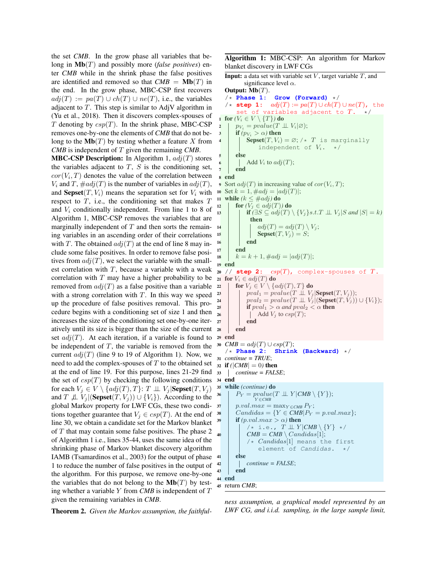the set *CMB*. In the grow phase all variables that belong in Mb(T) and possibly more (*false positives*) enter *CMB* while in the shrink phase the false positives are identified and removed so that  $CMB = Mb(T)$  in the end. In the grow phase, MBC-CSP first recovers  $adj(T) := pa(T) \cup ch(T) \cup ne(T)$ , i.e., the variables adjacent to  $T$ . This step is similar to AdjV algorithm in (Yu et al., 2018). Then it discovers complex-spouses of T denoting by  $csp(T)$ . In the shrink phase, MBC-CSP removes one-by-one the elements of *CMB* that do not belong to the  $Mb(T)$  by testing whether a feature X from *CMB* is independent of T given the remaining *CMB*.

**MBC-CSP Description:** In Algorithm 1,  $adj(T)$  stores the variables adjacent to  $T$ ,  $S$  is the conditioning set,  $cor(V_i, T)$  denotes the value of the correlation between  $V_i$  and T,  $\#adj(T)$  is the number of variables in  $adj(T)$ , and **Sepset** $(T, V_i)$  means the separation set for  $V_i$  with respect to  $T$ , i.e., the conditioning set that makes  $T$ and  $V_i$  conditionally independent. From line 1 to 8 of Algorithm 1, MBC-CSP removes the variables that are marginally independent of  $T$  and then sorts the remain-  $14$ ing variables in an ascending order of their correlations with T. The obtained  $adj(T)$  at the end of line 8 may include some false positives. In order to remove false positives from  $adj(T)$ , we select the variable with the smallest correlation with  $T$ , because a variable with a weak correlation with  $T$  may have a higher probability to be removed from  $adj(T)$  as a false positive than a variable with a strong correlation with  $T$ . In this way we speed up the procedure of false positives removal. This procedure begins with a conditioning set of size 1 and then increases the size of the conditioning set one-by-one iteratively until its size is bigger than the size of the current set  $adj(T)$ . At each iteration, if a variable is found to be independent of  $T$ , the variable is removed from the current  $adj(T)$  (line 9 to 19 of Algorithm 1). Now, we need to add the complex-spouses of  $T$  to the obtained set at the end of line 19. For this purpose, lines 21-29 find the set of  $csp(T)$  by checking the following conditions for each  $V_i \in V \setminus \{adj(T), T\}$ :  $T \perp \!\!\! \perp V_i$  **|Sepset** $(T, V_i)$ and  $T \nightharpoonup L$   $V_i | (\text{Sepset}(T, V_i)) \cup \{V_i\})$ . According to the global Markov property for LWF CGs, these two conditions together guarantee that  $V_j \in csp(T)$ . At the end of line 30, we obtain a candidate set for the Markov blanket of  $T$  that may contain some false positives. The phase  $2$ of Algorithm 1 i.e., lines 35-44, uses the same idea of the shrinking phase of Markov blanket discovery algorithm IAMB (Tsamardinos et al., 2003) for the output of phase 1 to reduce the number of false positives in the output of the algorithm. For this purpose, we remove one-by-one the variables that do not belong to the  $Mb(T)$  by testing whether a variable Y from *CMB* is independent of T given the remaining variables in *CMB*.

Theorem 2. *Given the Markov assumption, the faithful-*

Algorithm 1: MBC-CSP: An algorithm for Markov blanket discovery in LWF CGs

```
Input: a data set with variable set V, target variable T, and
           significance level \alpha.
   Output: Mb(T).
    /* Phase 1: Grow (Forward) */
    /* step 1: adj(T) := pa(T) \cup ch(T) \cup ne(T), the
        set of variables adjacent to T.
 1 for (V_i \in V \setminus \{T\}) do
 2 p_{V_i} = pvalue(T \perp \!\!\!\perp V_i | \varnothing);<br>3 if (p_{V_i} > \alpha) then
        if (p_{V_i} > \alpha) then
 4 | Sepset(T, V_i) = \varnothing; /* T is marginally
                 independent of V_i. */
        else
           Add V_i to adj(T);
       end
 8 end
 9 Sort adj(T) in increasing value of cor(V_i, T);
10 Set k = 1, \#adj = |adj(T)|;
11 while (k \leq \text{\#}adj) do
12 for (V_i \in adj(T)) do
\text{if } (\exists S \subseteq adj(T) \setminus \{V_j\} \text{ s.t. } T \perp \!\!\! \perp V_j | S \text{ and } |S| = k)then
                 adj(T) = adj(T) \setminus V_j;15 | | Sepset(T, V_j) = S;end
17 end
18 | k = k + 1, \# adj = |adj(T)|;19 end
20 // step 2: csp(T), complex-spouses of T.
21 for V_i \in adj(T) do
22 for V_i \in V \setminus \{adj(T), T\} do
23 | pval<sub>1</sub> = pvalue(T \perp \!\!\! \perp V_i | Sepset(T, V_i));
24 | pval<sub>2</sub> = pvalue(T \perp \!\!\!\perp V_j |(Sepset(T, V_j)) \cup {V<sub>i</sub>});
25 if pval_1 > \alpha and pval_2 < \alpha then
26 \Box Add V_j to csp(T);
27 end
28 end
29 end
30 CMB = adj(T) \cup csp(T);/* Phase 2: Shrink (Backward) */
31 continue = TRUE;
32 if (|CMB| = 0) then
33 continue = FALSE;
34 end
35 while (continue) do
36 \mid P_Y = pvalue(T \perp \perp Y | CMB \setminus \{Y\});Y ∈CMB
37 \mid p.val.max = \max_{Y \in CMB} P_Y;Candidas = {Y \in CMB | P_Y = p.val.max};if (p.val.max > \alpha) then
             \forall * \text{ i.e., } T \perp \!\!\! \perp Y | CMB \setminus \{Y\} * \angleCMB = CMB \setminus Candidate[1];/* Candidas[1] means the first
                 element of Candidas. */
        else
42 continue = FALSE;
       end
44 end
45 return CMB;
```
*ness assumption, a graphical model represented by an LWF CG, and i.i.d. sampling, in the large sample limit,*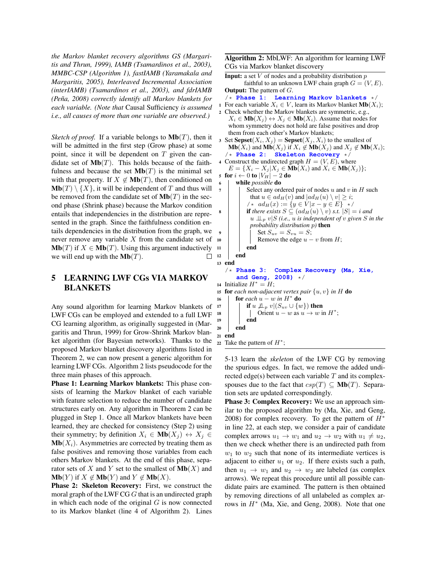*the Markov blanket recovery algorithms GS (Margaritis and Thrun, 1999), IAMB (Tsamardinos et al., 2003), MMBC-CSP (Algorithm 1), fastIAMB (Yaramakala and Margaritis, 2005), Interleaved Incremental Association (interIAMB) (Tsamardinos et al., 2003), and fdrIAMB (Peña, 2008) correctly identify all Markov blankets for each variable. (Note that* Causal Sufficiency *is assumed i.e., all causes of more than one variable are observed.)*

*Sketch of proof.* If a variable belongs to  $Mb(T)$ , then it will be admitted in the first step (Grow phase) at some point, since it will be dependent on  $T$  given the candidate set of  $Mb(T)$ . This holds because of the faithfulness and because the set  $Mb(T)$  is the minimal set with that property. If  $X \notin Mb(T)$ , then conditioned on  $Mb(T) \setminus \{X\}$ , it will be independent of T and thus will be removed from the candidate set of  $Mb(T)$  in the second phase (Shrink phase) because the Markov condition entails that independencies in the distribution are represented in the graph. Since the faithfulness condition entails dependencies in the distribution from the graph, we never remove any variable  $X$  from the candidate set of  $M\mathbf{b}(T)$  if  $X \in \mathbf{Mb}(T)$ . Using this argument inductively we will end up with the  $Mb(T)$ .  $\Box$ 

# 5 LEARNING LWF CGs VIA MARKOV BLANKETS

Any sound algorithm for learning Markov blankets of LWF CGs can be employed and extended to a full LWF CG learning algorithm, as originally suggested in (Margaritis and Thrun, 1999) for Grow-Shrink Markov blanket algorithm (for Bayesian networks). Thanks to the proposed Markov blanket discovery algorithms listed in Theorem 2, we can now present a generic algorithm for learning LWF CGs. Algorithm 2 lists pseudocode for the three main phases of this approach.

Phase 1: Learning Markov blankets: This phase consists of learning the Markov blanket of each variable with feature selection to reduce the number of candidate structures early on. Any algorithm in Theorem 2 can be plugged in Step 1. Once all Markov blankets have been learned, they are checked for consistency (Step 2) using their symmetry; by definition  $X_i \in \textbf{Mb}(X_j) \leftrightarrow X_j \in$  $Mb(X<sub>i</sub>)$ . Asymmetries are corrected by treating them as false positives and removing those variables from each others Markov blankets. At the end of this phase, separator sets of X and Y set to the smallest of  $M\mathbf{b}(X)$  and **Mb**(Y) if  $X \notin M\mathbf{b}(Y)$  and  $Y \notin M\mathbf{b}(X)$ .

Phase 2: Skeleton Recovery: First, we construct the moral graph of the LWF CG  $G$  that is an undirected graph in which each node of the original  $G$  is now connected to its Markov blanket (line 4 of Algorithm 2). Lines Algorithm 2: MbLWF: An algorithm for learning LWF CGs via Markov blanket discovery

```
Input: a set V of nodes and a probability distribution pfaithful to an unknown LWF chain graph G = (V, E).
Output: The pattern of G.
```

```
/* Phase 1: Learning Markov blankets */
```
- 1 For each variable  $X_i \in V$ , learn its Markov blanket **Mb** $(X_i)$ ;
- <sup>2</sup> Check whether the Markov blankets are symmetric, e.g.,  $X_i \in M\mathbf{b}(X_j) \leftrightarrow X_j \in M\mathbf{b}(X_i)$ . Assume that nodes for whom symmetry does not hold are false positives and drop them from each other's Markov blankets;
- 3 Set Sepset $(X_i, X_j)$  = Sepset $(X_j, X_i)$  to the smallest of **Mb**( $X_i$ ) and **Mb**( $X_j$ ) if  $X_i \notin M\mathbf{b}(X_j)$  and  $X_j \notin M\mathbf{b}(X_i)$ ; /\* **Phase 2: Skeleton Recovery** \*/
- 4 Construct the undirected graph  $H = (V, E)$ , where

$$
E = \{ X_i - X_j | X_j \in \mathbf{Mb}(X_i) \text{ and } X_i \in \mathbf{Mb}(X_j) \};
$$
  
**for**  $i \leftarrow 0$  **to**  $|V_H| - 2$  **do**

```
6 while possible do
```

```
7 \mid Select any ordered pair of nodes u and v in H such
            that u \in ad_H(v) and |ad_H(u) \setminus v| \geq i;
           /* ad_H(x) := \{y \in V | x - y \in E\} */
           if there exists S \subseteq (ad_H(u) \setminus v) s.t. |S| = i and
            u \perp v \mid S (i.e., u is independent of v given S in the
            probability distribution p) then
 9 | | Set S_{uv} = S_{vu} = S;10 | Remove the edge u - v from H;
11 end
12 end
13 end
   /* Phase 3: Complex Recovery (Ma, Xie,
       and Geng,
```

```
14 Initialize H^* = H;
```

```
15 for each non-adjacent vertex pair \{u, v\} in H do
```

```
16 \int for each u - w in H^* do
17 if u \mathcal{L}_p v|(S_{uv} \cup \{w\}) then
18 | | Orient u - w as u \to w in H^*;
           end
       end
21 end
```

```
22 Take the pattern of H^*;
```
5-13 learn the *skeleton* of the LWF CG by removing the spurious edges. In fact, we remove the added undirected edge(s) between each variable  $T$  and its complexspouses due to the fact that  $csp(T) \subseteq \textbf{Mb}(T)$ . Separation sets are updated correspondingly.

Phase 3: Complex Recovery: We use an approach similar to the proposed algorithm by (Ma, Xie, and Geng, 2008) for complex recovery. To get the pattern of  $H^*$ in line 22, at each step, we consider a pair of candidate complex arrows  $u_1 \rightarrow w_1$  and  $u_2 \rightarrow w_2$  with  $u_1 \neq u_2$ , then we check whether there is an undirected path from  $w_1$  to  $w_2$  such that none of its intermediate vertices is adjacent to either  $u_1$  or  $u_2$ . If there exists such a path, then  $u_1 \rightarrow w_1$  and  $u_2 \rightarrow w_2$  are labeled (as complex arrows). We repeat this procedure until all possible candidate pairs are examined. The pattern is then obtained by removing directions of all unlabeled as complex arrows in  $H^*$  (Ma, Xie, and Geng, 2008). Note that one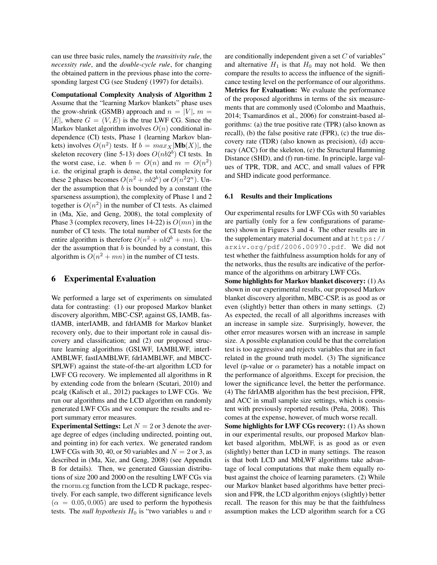can use three basic rules, namely the *transitivity rule*, the *necessity rule*, and the *double-cycle rule*, for changing the obtained pattern in the previous phase into the corresponding largest CG (see Studený (1997) for details).

Computational Complexity Analysis of Algorithm 2 Assume that the "learning Markov blankets" phase uses the grow-shrink (GSMB) approach and  $n = |V|$ ,  $m =$  $|E|$ , where  $G = (V, E)$  is the true LWF CG. Since the Markov blanket algorithm involves  $O(n)$  conditional independence (CI) tests, Phase 1 (learning Markov blankets) involves  $O(n^2)$  tests. If  $b = max_X |M b(X)|$ , the skeleton recovery (line 5-13) does  $O(nb2<sup>b</sup>)$  CI tests. In the worst case, i.e. when  $b = O(n)$  and  $m = O(n^2)$ i.e. the original graph is dense, the total complexity for these 2 phases becomes  $O(n^2 + nb2^b)$  or  $O(n^22^n)$ . Under the assumption that  $b$  is bounded by a constant (the sparseness assumption), the complexity of Phase 1 and 2 together is  $O(n^2)$  in the number of CI tests. As claimed in (Ma, Xie, and Geng, 2008), the total complexity of Phase 3 (complex recovery, lines 14-22) is  $O(mn)$  in the number of CI tests. The total number of CI tests for the entire algorithm is therefore  $O(n^2 + nb2^b + mn)$ . Under the assumption that  $b$  is bounded by a constant, this algorithm is  $O(n^2 + mn)$  in the number of CI tests.

### 6 Experimental Evaluation

We performed a large set of experiments on simulated data for contrasting: (1) our proposed Markov blanket discovery algorithm, MBC-CSP, against GS, IAMB, fastIAMB, interIAMB, and fdrIAMB for Markov blanket recovery only, due to their important role in causal discovery and classification; and (2) our proposed structure learning algorithms (GSLWF, IAMBLWF, interI-AMBLWF, fastIAMBLWF, fdrIAMBLWF, and MBCC-SPLWF) against the state-of-the-art algorithm LCD for LWF CG recovery. We implemented all algorithms in R by extending code from the bnlearn (Scutari, 2010) and pcalg (Kalisch et al., 2012) packages to LWF CGs. We run our algorithms and the LCD algorithm on randomly generated LWF CGs and we compare the results and report summary error measures.

**Experimental Settings:** Let  $N = 2$  or 3 denote the average degree of edges (including undirected, pointing out, and pointing in) for each vertex. We generated random LWF CGs with 30, 40, or 50 variables and  $N = 2$  or 3, as described in (Ma, Xie, and Geng, 2008) (see Appendix B for details). Then, we generated Gaussian distributions of size 200 and 2000 on the resulting LWF CGs via the rnorm.cg function from the LCD R package, respectively. For each sample, two different significance levels  $(\alpha = 0.05, 0.005)$  are used to perform the hypothesis tests. The *null hypothesis*  $H_0$  is "two variables u and v are conditionally independent given a set  $C$  of variables" and alternative  $H_1$  is that  $H_0$  may not hold. We then compare the results to access the influence of the significance testing level on the performance of our algorithms. Metrics for Evaluation: We evaluate the performance of the proposed algorithms in terms of the six measurements that are commonly used (Colombo and Maathuis, 2014; Tsamardinos et al., 2006) for constraint-based algorithms: (a) the true positive rate (TPR) (also known as recall), (b) the false positive rate (FPR), (c) the true discovery rate (TDR) (also known as precision), (d) accuracy (ACC) for the skeleton, (e) the Structural Hamming Distance (SHD), and (f) run-time. In principle, large values of TPR, TDR, and ACC, and small values of FPR and SHD indicate good performance.

#### 6.1 Results and their Implications

Our experimental results for LWF CGs with 50 variables are partially (only for a few configurations of parameters) shown in Figures 3 and 4. The other results are in the supplementary material document and at https:// arxiv.org/pdf/2006.00970.pdf. We did not test whether the faithfulness assumption holds for any of the networks, thus the results are indicative of the performance of the algorithms on arbitrary LWF CGs.

Some highlights for Markov blanket discovery: (1) As shown in our experimental results, our proposed Markov blanket discovery algorithm, MBC-CSP, is as good as or even (slightly) better than others in many settings. (2) As expected, the recall of all algorithms increases with an increase in sample size. Surprisingly, however, the other error measures worsen with an increase in sample size. A possible explanation could be that the correlation test is too aggressive and rejects variables that are in fact related in the ground truth model. (3) The significance level (p-value or  $\alpha$  parameter) has a notable impact on the performance of algorithms. Except for precision, the lower the significance level, the better the performance. (4) The fdrIAMB algorithm has the best precision, FPR, and ACC in small sample size settings, which is consistent with previously reported results (Peña, 2008). This comes at the expense, however, of much worse recall.

Some highlights for LWF CGs recovery: (1) As shown in our experimental results, our proposed Markov blanket based algorithm, MbLWF, is as good as or even (slightly) better than LCD in many settings. The reason is that both LCD and MbLWF algorithms take advantage of local computations that make them equally robust against the choice of learning parameters. (2) While our Markov blanket based algorithms have better precision and FPR, the LCD algorithm enjoys (slightly) better recall. The reason for this may be that the faithfulness assumption makes the LCD algorithm search for a CG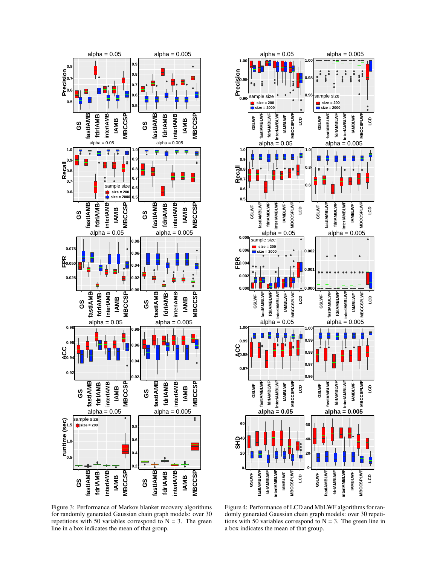

Figure 3: Performance of Markov blanket recovery algorithms for randomly generated Gaussian chain graph models: over 30 repetitions with 50 variables correspond to  $N = 3$ . The green line in a box indicates the mean of that group.



Figure 4: Performance of LCD and MbLWF algorithms for randomly generated Gaussian chain graph models: over 30 repetitions with 50 variables correspond to  $N = 3$ . The green line in a box indicates the mean of that group.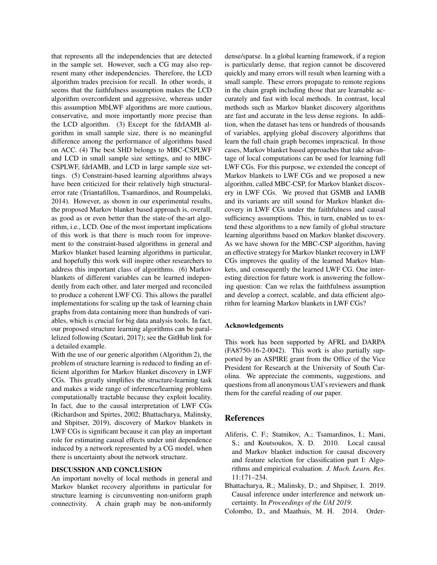that represents all the independencies that are detected in the sample set. However, such a CG may also represent many other independencies. Therefore, the LCD algorithm trades precision for recall. In other words, it seems that the faithfulness assumption makes the LCD algorithm overconfident and aggressive, whereas under this assumption MbLWF algorithms are more cautious, conservative, and more importantly more precise than the LCD algorithm. (3) Except for the fdrIAMB algorithm in small sample size, there is no meaningful difference among the performance of algorithms based on ACC. (4) The best SHD belongs to MBC-CSPLWF and LCD in small sample size settings, and to MBC-CSPLWF, fdrIAMB, and LCD in large sample size settings. (5) Constraint-based learning algorithms always have been criticized for their relatively high structuralerror rate (Triantafillou, Tsamardinos, and Roumpelaki, 2014). However, as shown in our experimental results, the proposed Markov blanket based approach is, overall, as good as or even better than the state-of the-art algorithm, i.e., LCD. One of the most important implications of this work is that there is much room for improvement to the constraint-based algorithms in general and Markov blanket based learning algorithms in particular, and hopefully this work will inspire other researchers to address this important class of algorithms. (6) Markov blankets of different variables can be learned independently from each other, and later merged and reconciled to produce a coherent LWF CG. This allows the parallel implementations for scaling up the task of learning chain graphs from data containing more than hundreds of variables, which is crucial for big data analysis tools. In fact, our proposed structure learning algorithms can be parallelized following (Scutari, 2017); see the GitHub link for a detailed example.

With the use of our generic algorithm (Algorithm 2), the problem of structure learning is reduced to finding an efficient algorithm for Markov blanket discovery in LWF CGs. This greatly simplifies the structure-learning task and makes a wide range of inference/learning problems computationally tractable because they exploit locality. In fact, due to the causal interpretation of LWF CGs (Richardson and Spirtes, 2002; Bhattacharya, Malinsky, and Shpitser, 2019), discovery of Markov blankets in LWF CGs is significant because it can play an important role for estimating causal effects under unit dependence induced by a network represented by a CG model, when there is uncertainty about the network structure.

#### DISCUSSION AND CONCLUSION

An important novelty of local methods in general and Markov blanket recovery algorithms in particular for structure learning is circumventing non-uniform graph connectivity. A chain graph may be non-uniformly dense/sparse. In a global learning framework, if a region is particularly dense, that region cannot be discovered quickly and many errors will result when learning with a small sample. These errors propagate to remote regions in the chain graph including those that are learnable accurately and fast with local methods. In contrast, local methods such as Markov blanket discovery algorithms are fast and accurate in the less dense regions. In addition, when the dataset has tens or hundreds of thousands of variables, applying global discovery algorithms that learn the full chain graph becomes impractical. In those cases, Markov blanket based approaches that take advantage of local computations can be used for learning full LWF CGs. For this purpose, we extended the concept of Markov blankets to LWF CGs and we proposed a new algorithm, called MBC-CSP, for Markov blanket discovery in LWF CGs. We proved that GSMB and IAMB and its variants are still sound for Markov blanket discovery in LWF CGs under the faithfulness and causal sufficiency assumptions. This, in turn, enabled us to extend these algorithms to a new family of global structure learning algorithms based on Markov blanket discovery. As we have shown for the MBC-CSP algorithm, having an effective strategy for Markov blanket recovery in LWF CGs improves the quality of the learned Markov blankets, and consequently the learned LWF CG. One interesting direction for future work is answering the following question: Can we relax the faithfulness assumption and develop a correct, scalable, and data efficient algorithm for learning Markov blankets in LWF CGs?

#### Acknowledgements

This work has been supported by AFRL and DARPA (FA8750-16-2-0042). This work is also partially supported by an ASPIRE grant from the Office of the Vice President for Research at the University of South Carolina. We appreciate the comments, suggestions, and questions from all anonymous UAI's reviewers and thank them for the careful reading of our paper.

### References

- Aliferis, C. F.; Statnikov, A.; Tsamardinos, I.; Mani, S.; and Koutsoukos, X. D. 2010. Local causal and Markov blanket induction for causal discovery and feature selection for classification part I: Algorithms and empirical evaluation. *J. Mach. Learn. Res.* 11:171–234.
- Bhattacharya, R.; Malinsky, D.; and Shpitser, I. 2019. Causal inference under interference and network uncertainty. In *Proceedings of the UAI 2019*.
- Colombo, D., and Maathuis, M. H. 2014. Order-